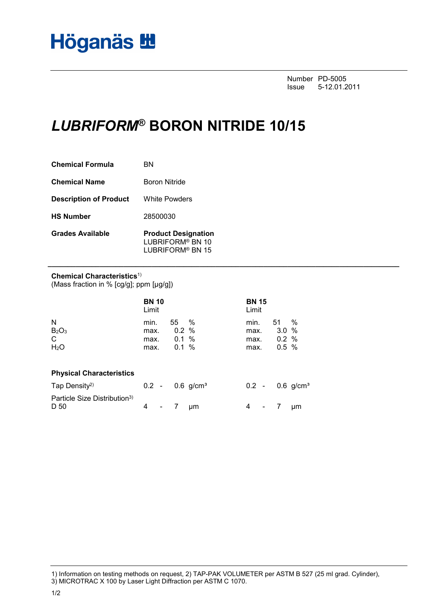Number PD-5005<br>Issue 5-12.01.2 Issue 5-12.01.2011

# *LUBRIFORM***® BORON NITRIDE 10/15**

| <b>Chemical Formula</b>       | вN                                                                             |
|-------------------------------|--------------------------------------------------------------------------------|
| <b>Chemical Name</b>          | <b>Boron Nitride</b>                                                           |
| <b>Description of Product</b> | <b>White Powders</b>                                                           |
| <b>HS Number</b>              | 28500030                                                                       |
| <b>Grades Available</b>       | <b>Product Designation</b><br>LUBRIFORM <sup>®</sup> BN 10<br>LUBRIFORM® BN 15 |

### **Chemical Characteristics**1)

(Mass fraction in % [cg/g]; ppm [µg/g])

|                                                             | <b>BN 10</b><br>Limit        |                               |                         | <b>BN 15</b><br>Limit        |                            |                |
|-------------------------------------------------------------|------------------------------|-------------------------------|-------------------------|------------------------------|----------------------------|----------------|
| N<br>B <sub>2</sub> O <sub>3</sub><br>C<br>H <sub>2</sub> O | min.<br>max.<br>max.<br>max. | 55 %<br>0.2%<br>0.1 %<br>0.1% |                         | min.<br>max.<br>max.<br>max. | 51<br>3.0%<br>0.2%<br>0.5% | %              |
| <b>Physical Characteristics</b>                             |                              |                               |                         |                              |                            |                |
| Tap Density <sup>2)</sup>                                   | $0.2 -$                      |                               | $0.6$ g/cm <sup>3</sup> | $0.2 -$                      |                            | 0.6 $g/cm^{3}$ |
| Particle Size Distribution <sup>3)</sup><br>D 50            | 4<br>$\sim$                  |                               | μm                      | 4<br>$\blacksquare$          |                            | μm             |

**\_\_\_\_\_\_\_\_\_\_\_\_\_\_\_\_\_\_\_\_\_\_\_\_\_\_\_\_\_\_\_\_\_\_\_\_\_\_\_\_\_\_\_\_\_\_\_\_\_\_\_\_\_\_\_\_\_\_\_\_\_\_\_\_\_\_\_\_\_\_\_\_\_\_\_\_\_\_\_\_\_\_\_\_\_\_\_\_**

<sup>1)</sup> Information on testing methods on request, 2) TAP-PAK VOLUMETER per ASTM B 527 (25 ml grad. Cylinder), 3) MICROTRAC X 100 by Laser Light Diffraction per ASTM C 1070.